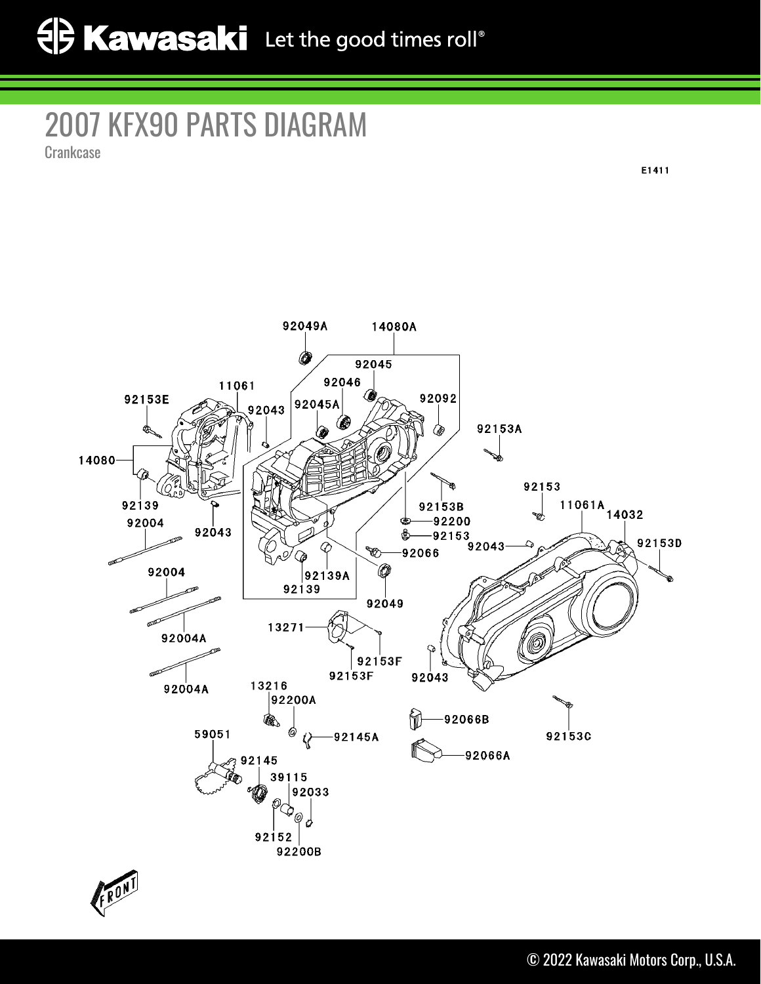## 2007 KFX90 PARTS DIAGRAM

**Crankcase** 

E1411



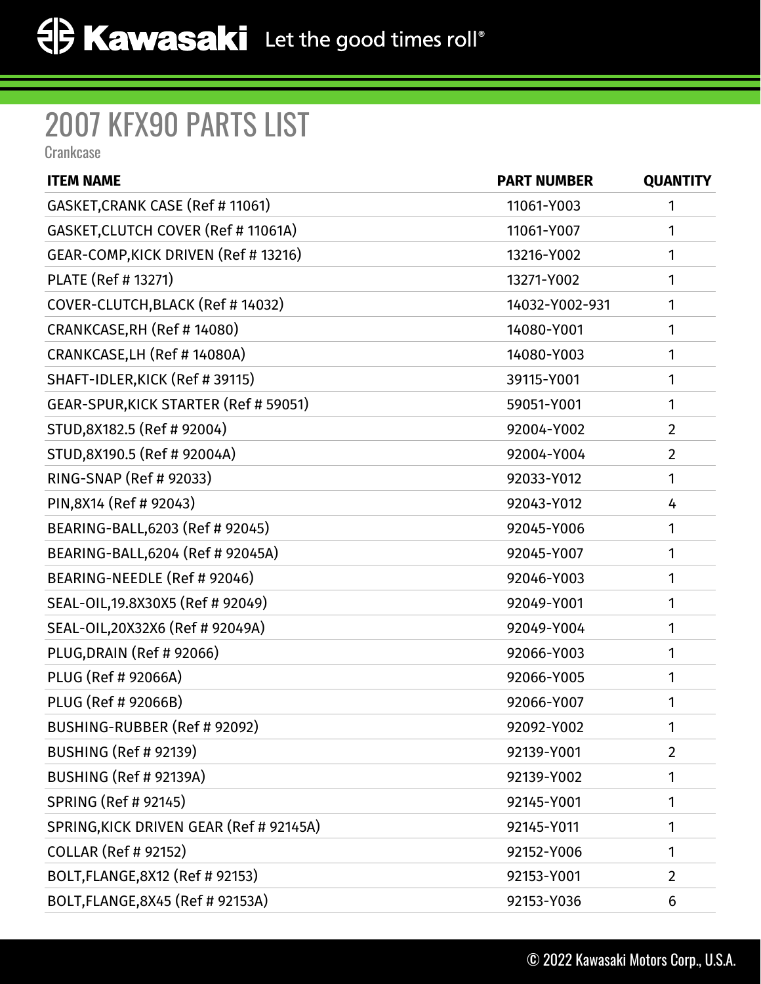## 2007 KFX90 PARTS LIST

**Crankcase** 

| <b>ITEM NAME</b>                        | <b>PART NUMBER</b> | <b>QUANTITY</b> |
|-----------------------------------------|--------------------|-----------------|
| GASKET, CRANK CASE (Ref # 11061)        | 11061-Y003         | 1               |
| GASKET, CLUTCH COVER (Ref # 11061A)     | 11061-Y007         | 1               |
| GEAR-COMP, KICK DRIVEN (Ref # 13216)    | 13216-Y002         | 1               |
| PLATE (Ref # 13271)                     | 13271-Y002         | 1               |
| COVER-CLUTCH, BLACK (Ref #14032)        | 14032-Y002-931     | 1               |
| CRANKCASE, RH (Ref #14080)              | 14080-Y001         | 1               |
| CRANKCASE, LH (Ref # 14080A)            | 14080-Y003         | 1               |
| SHAFT-IDLER, KICK (Ref # 39115)         | 39115-Y001         | 1               |
| GEAR-SPUR, KICK STARTER (Ref # 59051)   | 59051-Y001         | 1               |
| STUD,8X182.5 (Ref # 92004)              | 92004-Y002         | $\overline{2}$  |
| STUD,8X190.5 (Ref # 92004A)             | 92004-Y004         | $\overline{2}$  |
| RING-SNAP (Ref # 92033)                 | 92033-Y012         | 1               |
| PIN,8X14 (Ref # 92043)                  | 92043-Y012         | 4               |
| BEARING-BALL, 6203 (Ref # 92045)        | 92045-Y006         | 1               |
| BEARING-BALL, 6204 (Ref # 92045A)       | 92045-Y007         | 1               |
| BEARING-NEEDLE (Ref # 92046)            | 92046-Y003         | 1               |
| SEAL-OIL, 19.8X30X5 (Ref # 92049)       | 92049-Y001         | 1               |
| SEAL-OIL, 20X32X6 (Ref # 92049A)        | 92049-Y004         | 1               |
| PLUG, DRAIN (Ref # 92066)               | 92066-Y003         | 1               |
| PLUG (Ref # 92066A)                     | 92066-Y005         | 1               |
| PLUG (Ref # 92066B)                     | 92066-Y007         | 1               |
| BUSHING-RUBBER (Ref # 92092)            | 92092-Y002         | 1               |
| <b>BUSHING (Ref # 92139)</b>            | 92139-Y001         | $\overline{2}$  |
| BUSHING (Ref # 92139A)                  | 92139-Y002         | 1               |
| <b>SPRING (Ref # 92145)</b>             | 92145-Y001         | 1               |
| SPRING, KICK DRIVEN GEAR (Ref # 92145A) | 92145-Y011         | 1               |
| <b>COLLAR (Ref # 92152)</b>             | 92152-Y006         | 1               |
| BOLT, FLANGE, 8X12 (Ref # 92153)        | 92153-Y001         | $\overline{2}$  |
| BOLT, FLANGE, 8X45 (Ref # 92153A)       | 92153-Y036         | 6               |